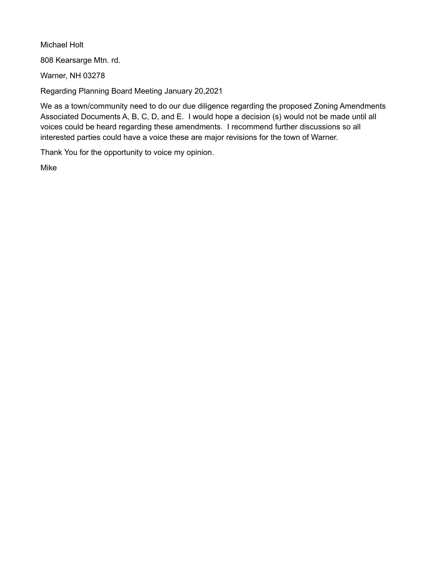Michael Holt

808 Kearsarge Mtn. rd.

Warner, NH 03278

Regarding Planning Board Meeting January 20,2021

We as a town/community need to do our due diligence regarding the proposed Zoning Amendments Associated Documents A, B, C, D, and E. I would hope a decision (s) would not be made until all voices could be heard regarding these amendments. I recommend further discussions so all interested parties could have a voice these are major revisions for the town of Warner.

Thank You for the opportunity to voice my opinion.

Mike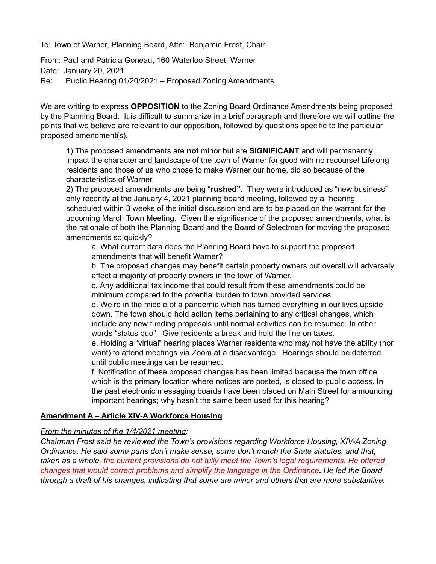To: Town of Warner, Planning Board, Attn: Benjamin Frost, Chair

From: Paul and Patricia Goneau, 160 Waterloo Street, Warner Date: January 20, 2021 Re: Public Hearing 01/20/2021 – Proposed Zoning Amendments

We are writing to express **OPPOSITION** to the Zoning Board Ordinance Amendments being proposed by the Planning Board. It is difficult to summarize in a brief paragraph and therefore we will outline the points that we believe are relevant to our opposition, followed by questions specific to the particular proposed amendment(s).

1) The proposed amendments are **not** minor but are **SIGNIFICANT** and will permanently impact the character and landscape of the town of Warner for good with no recourse! Lifelong residents and those of us who chose to make Warner our home, did so because of the characteristics of Warner.

2) The proposed amendments are being "**rushed".** They were introduced as "new business" only recently at the January 4, 2021 planning board meeting, followed by a "hearing" scheduled within 3 weeks of the initial discussion and are to be placed on the warrant for the upcoming March Town Meeting. Given the significance of the proposed amendments, what is the rationale of both the Planning Board and the Board of Selectmen for moving the proposed amendments so quickly?

a What current data does the Planning Board have to support the proposed amendments that will benefit Warner?

b. The proposed changes may benefit certain property owners but overall will adversely affect a majority of property owners in the town of Warner.

c. Any additional tax income that could result from these amendments could be minimum compared to the potential burden to town provided services.

d. We're in the middle of a pandemic which has turned everything in our lives upside down. The town should hold action items pertaining to any critical changes, which include any new funding proposals until normal activities can be resumed. In other words "status quo". Give residents a break and hold the line on taxes.

e. Holding a "virtual" hearing places Warner residents who may not have the ability (nor want) to attend meetings via Zoom at a disadvantage. Hearings should be deferred until public meetings can be resumed.

f. Notification of these proposed changes has been limited because the town office, which is the primary location where notices are posted, is closed to public access. In the past electronic messaging boards have been placed on Main Street for announcing important hearings; why hasn't the same been used for this hearing?

#### **Amendment A – Article XIV-A Workforce Housing**

#### *From the minutes of the 1/4/2021 meeting:*

*Chairman Frost said he reviewed the Town's provisions regarding Workforce Housing, XIV-A Zoning Ordinance. He said some parts don't make sense, some don't match the State statutes, and that,*  taken as a whole, the current provisions do not fully meet the Town's legal requirements. He offered  *changes that would correct problems and simplify the language in the Ordinance. He led the Board through a draft of his changes, indicating that some are minor and others that are more substantive.*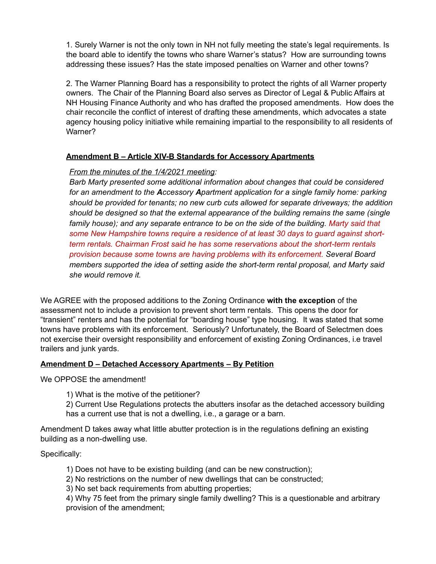1. Surely Warner is not the only town in NH not fully meeting the state's legal requirements. Is the board able to identify the towns who share Warner's status? How are surrounding towns addressing these issues? Has the state imposed penalties on Warner and other towns?

2. The Warner Planning Board has a responsibility to protect the rights of all Warner property owners. The Chair of the Planning Board also serves as Director of Legal & Public Affairs at NH Housing Finance Authority and who has drafted the proposed amendments. How does the chair reconcile the conflict of interest of drafting these amendments, which advocates a state agency housing policy initiative while remaining impartial to the responsibility to all residents of Warner?

#### **Amendment B – Article XIV-B Standards for Accessory Apartments**

## *From the minutes of the 1/4/2021 meeting:*

*Barb Marty presented some additional information about changes that could be considered for an amendment to the Accessory Apartment application for a single family home: parking should be provided for tenants; no new curb cuts allowed for separate driveways; the addition should be designed so that the external appearance of the building remains the same (single family house); and any separate entrance to be on the side of the building. Marty said that some New Hampshire towns require a residence of at least 30 days to guard against shortterm rentals. Chairman Frost said he has some reservations about the short-term rentals provision because some towns are having problems with its enforcement. Several Board members supported the idea of setting aside the short-term rental proposal, and Marty said she would remove it.*

We AGREE with the proposed additions to the Zoning Ordinance **with the exception** of the assessment not to include a provision to prevent short term rentals. This opens the door for "transient" renters and has the potential for "boarding house" type housing. It was stated that some towns have problems with its enforcement. Seriously? Unfortunately, the Board of Selectmen does not exercise their oversight responsibility and enforcement of existing Zoning Ordinances, i.e travel trailers and junk yards.

#### **Amendment D – Detached Accessory Apartments – By Petition**

We OPPOSE the amendment!

1) What is the motive of the petitioner?

2) Current Use Regulations protects the abutters insofar as the detached accessory building has a current use that is not a dwelling, i.e., a garage or a barn.

Amendment D takes away what little abutter protection is in the regulations defining an existing building as a non-dwelling use.

#### Specifically:

- 1) Does not have to be existing building (and can be new construction);
- 2) No restrictions on the number of new dwellings that can be constructed;
- 3) No set back requirements from abutting properties;

4) Why 75 feet from the primary single family dwelling? This is a questionable and arbitrary provision of the amendment;